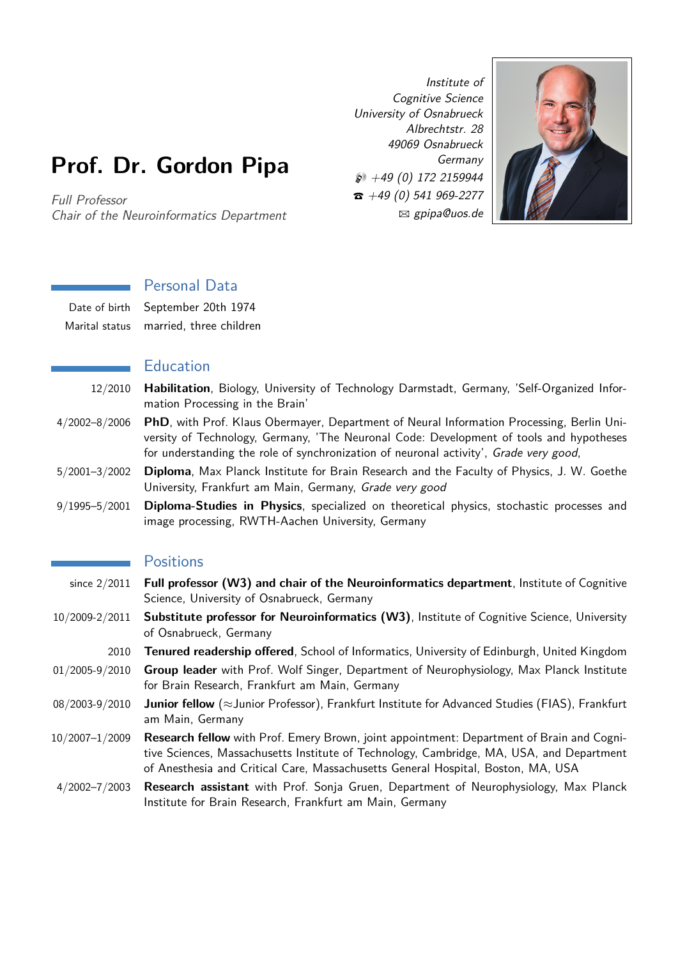# **Prof. Dr. Gordon Pipa**

Full Professor Chair of the Neuroinformatics Department

Institute of Cognitive Science University of Osnabrueck Albrechtstr. 28 49069 Osnabrueck Germany  $\wp$  +49 (0) 172 2159944  $\hat{z}$  +49 (0) 541 969-2277 B gpipa@uos.de



## Personal Data

| Date of birth September 20th 1974      |
|----------------------------------------|
| Marital status married, three children |

#### Education

- 12/2010 **Habilitation**, Biology, University of Technology Darmstadt, Germany, 'Self-Organized Information Processing in the Brain'
- 4/2002–8/2006 **PhD**, with Prof. Klaus Obermayer, Department of Neural Information Processing, Berlin University of Technology, Germany, 'The Neuronal Code: Development of tools and hypotheses for understanding the role of synchronization of neuronal activity', Grade very good,
- 5/2001–3/2002 **Diploma**, Max Planck Institute for Brain Research and the Faculty of Physics, J. W. Goethe University, Frankfurt am Main, Germany, Grade very good
- 9/1995–5/2001 **Diploma-Studies in Physics**, specialized on theoretical physics, stochastic processes and image processing, RWTH-Aachen University, Germany

#### **Positions**

- since 2/2011 **Full professor (W3) and chair of the Neuroinformatics department**, Institute of Cognitive Science, University of Osnabrueck, Germany
- 10/2009-2/2011 **Substitute professor for Neuroinformatics (W3)**, Institute of Cognitive Science, University of Osnabrueck, Germany
	- 2010 **Tenured readership offered**, School of Informatics, University of Edinburgh, United Kingdom
- 01/2005-9/2010 **Group leader** with Prof. Wolf Singer, Department of Neurophysiology, Max Planck Institute for Brain Research, Frankfurt am Main, Germany
- 08/2003-9/2010 **Junior fellow** (*≈*Junior Professor), Frankfurt Institute for Advanced Studies (FIAS), Frankfurt am Main, Germany
- 10/2007–1/2009 **Research fellow** with Prof. Emery Brown, joint appointment: Department of Brain and Cognitive Sciences, Massachusetts Institute of Technology, Cambridge, MA, USA, and Department of Anesthesia and Critical Care, Massachusetts General Hospital, Boston, MA, USA
- 4/2002–7/2003 **Research assistant** with Prof. Sonja Gruen, Department of Neurophysiology, Max Planck Institute for Brain Research, Frankfurt am Main, Germany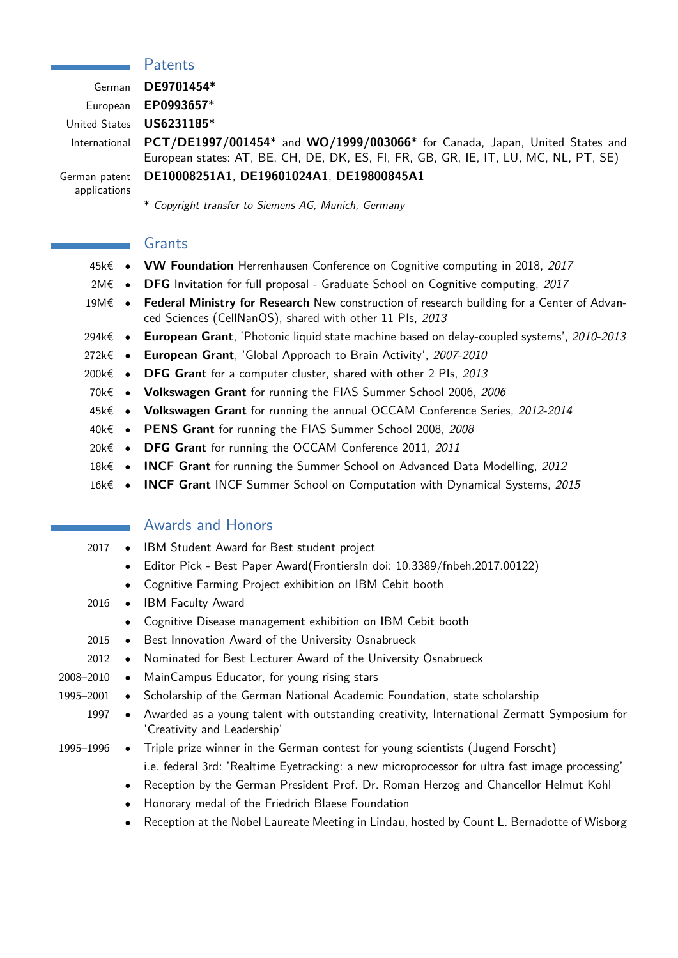#### **Patents**

German **DE9701454**\* European **EP0993657**\* United States **US6231185**\* International **PCT/DE1997/001454**\* and **WO/1999/003066**\* for Canada, Japan, United States and

German patent applications

\* Copyright transfer to Siemens AG, Munich, Germany

**DE10008251A1**, **DE19601024A1**, **DE19800845A1**

### Grants

- 45k€ *•* **VW Foundation** Herrenhausen Conference on Cognitive computing in 2018, 2017
- 2M€ *•* **DFG** Invitation for full proposal Graduate School on Cognitive computing, 2017
- 19M€ *•* **Federal Ministry for Research** New construction of research building for a Center of Advanced Sciences (CellNanOS), shared with other 11 PIs, 2013

European states: AT, BE, CH, DE, DK, ES, FI, FR, GB, GR, IE, IT, LU, MC, NL, PT, SE)

- 294k€ *•* **European Grant**, 'Photonic liquid state machine based on delay-coupled systems', 2010-2013
- 272k€ *•* **European Grant**, 'Global Approach to Brain Activity', 2007-2010
- 200k€ *•* **DFG Grant** for a computer cluster, shared with other 2 PIs, 2013
- 70k€ *•* **Volkswagen Grant** for running the FIAS Summer School 2006, 2006
- 45k€ *•* **Volkswagen Grant** for running the annual OCCAM Conference Series, 2012-2014
- 40k€ *•* **PENS Grant** for running the FIAS Summer School 2008, 2008
- 20k€ *•* **DFG Grant** for running the OCCAM Conference 2011, 2011
- 18k€ *•* **INCF Grant** for running the Summer School on Advanced Data Modelling, 2012
- 16k€ *•* **INCF Grant** INCF Summer School on Computation with Dynamical Systems, 2015

#### Awards and Honors

- 2017 *•* IBM Student Award for Best student project
	- *•* Editor Pick Best Paper Award(FrontiersIn doi: 10.3389/fnbeh.2017.00122)
	- *•* Cognitive Farming Project exhibition on IBM Cebit booth
- 2016 *•* IBM Faculty Award
	- *•* Cognitive Disease management exhibition on IBM Cebit booth
- 2015 *•* Best Innovation Award of the University Osnabrueck
- 2012 *•* Nominated for Best Lecturer Award of the University Osnabrueck
- 2008–2010 *•* MainCampus Educator, for young rising stars
- 1995–2001 *•* Scholarship of the German National Academic Foundation, state scholarship
	- 1997 *•* Awarded as a young talent with outstanding creativity, International Zermatt Symposium for 'Creativity and Leadership'
- 1995–1996 *•* Triple prize winner in the German contest for young scientists (Jugend Forscht) i.e. federal 3rd: 'Realtime Eyetracking: a new microprocessor for ultra fast image processing'
	- *•* Reception by the German President Prof. Dr. Roman Herzog and Chancellor Helmut Kohl
	- *•* Honorary medal of the Friedrich Blaese Foundation
	- *•* Reception at the Nobel Laureate Meeting in Lindau, hosted by Count L. Bernadotte of Wisborg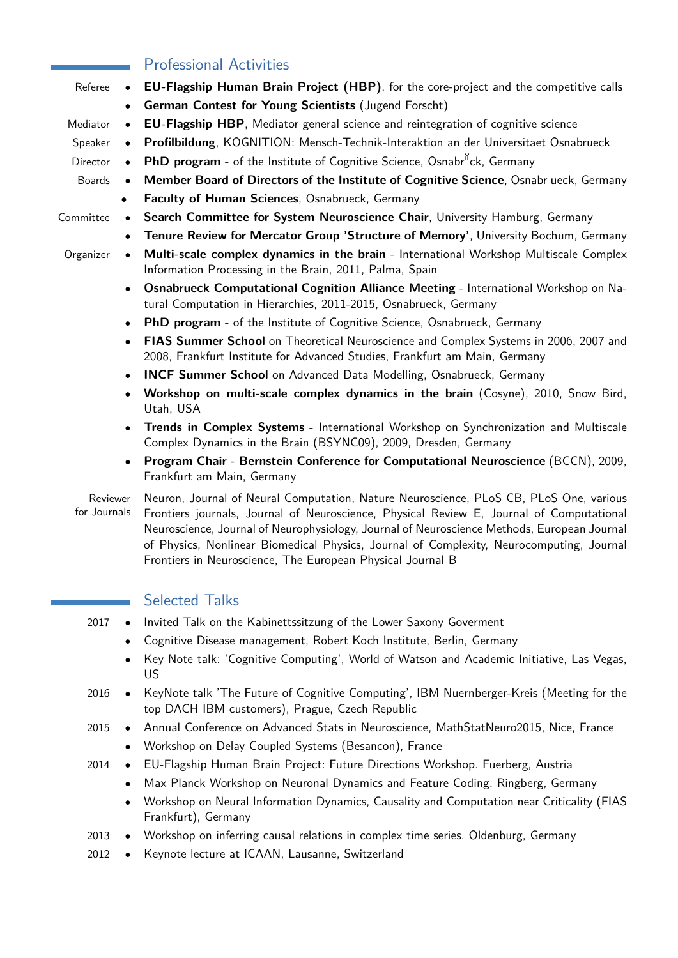|           |           | <b>Professional Activities</b>                                                                                                                                     |  |
|-----------|-----------|--------------------------------------------------------------------------------------------------------------------------------------------------------------------|--|
| Referee   |           | EU-Flagship Human Brain Project (HBP), for the core-project and the competitive calls                                                                              |  |
|           | $\bullet$ | German Contest for Young Scientists (Jugend Forscht)                                                                                                               |  |
| Mediator  | $\bullet$ | <b>EU-Flagship HBP</b> , Mediator general science and reintegration of cognitive science                                                                           |  |
| Speaker   | $\bullet$ | Profilbildung, KOGNITION: Mensch-Technik-Interaktion an der Universitaet Osnabrueck                                                                                |  |
| Director  | $\bullet$ | PhD program - of the Institute of Cognitive Science, Osnabr <sup>n</sup> ck, Germany                                                                               |  |
| Boards    | $\bullet$ | Member Board of Directors of the Institute of Cognitive Science, Osnabr ueck, Germany                                                                              |  |
|           | $\bullet$ | Faculty of Human Sciences, Osnabrueck, Germany                                                                                                                     |  |
| Committee | $\bullet$ | Search Committee for System Neuroscience Chair, University Hamburg, Germany                                                                                        |  |
|           |           | Tenure Review for Mercator Group 'Structure of Memory', University Bochum, Germany                                                                                 |  |
| Organizer | $\bullet$ | Multi-scale complex dynamics in the brain - International Workshop Multiscale Complex<br>Information Processing in the Brain, 2011, Palma, Spain                   |  |
|           |           | <b>Osnabrueck Computational Cognition Alliance Meeting - International Workshop on Na-</b><br>tural Computation in Hierarchies, 2011-2015, Osnabrueck, Germany     |  |
|           |           | PhD program - of the Institute of Cognitive Science, Osnabrueck, Germany                                                                                           |  |
|           | $\bullet$ | FIAS Summer School on Theoretical Neuroscience and Complex Systems in 2006, 2007 and<br>2008, Frankfurt Institute for Advanced Studies, Frankfurt am Main, Germany |  |
|           |           | <b>INCF Summer School</b> on Advanced Data Modelling, Osnabrueck, Germany                                                                                          |  |
|           |           | Workshop on multi-scale complex dynamics in the brain (Cosyne), 2010, Snow Bird,<br>Utah, USA                                                                      |  |
|           |           | Trends in Complex Systems - International Workshop on Synchronization and Multiscale<br>Complex Dynamics in the Brain (BSYNC09), 2009, Dresden, Germany            |  |
|           |           | Program Chair - Bernstein Conference for Computational Neuroscience (BCCN), 2009,<br>Frankfurt am Main, Germany                                                    |  |

Reviewer for Journals Neuron, Journal of Neural Computation, Nature Neuroscience, PLoS CB, PLoS One, various Frontiers journals, Journal of Neuroscience, Physical Review E, Journal of Computational Neuroscience, Journal of Neurophysiology, Journal of Neuroscience Methods, European Journal of Physics, Nonlinear Biomedical Physics, Journal of Complexity, Neurocomputing, Journal Frontiers in Neuroscience, The European Physical Journal B

# Selected Talks

r.

- 2017 *•* Invited Talk on the Kabinettssitzung of the Lower Saxony Goverment
	- *•* Cognitive Disease management, Robert Koch Institute, Berlin, Germany
	- *•* Key Note talk: 'Cognitive Computing', World of Watson and Academic Initiative, Las Vegas, US
- 2016 *•* KeyNote talk 'The Future of Cognitive Computing', IBM Nuernberger-Kreis (Meeting for the top DACH IBM customers), Prague, Czech Republic
- 2015 *•* Annual Conference on Advanced Stats in Neuroscience, MathStatNeuro2015, Nice, France
	- *•* Workshop on Delay Coupled Systems (Besancon), France
- 2014 *•* EU-Flagship Human Brain Project: Future Directions Workshop. Fuerberg, Austria
	- *•* Max Planck Workshop on Neuronal Dynamics and Feature Coding. Ringberg, Germany
	- *•* Workshop on Neural Information Dynamics, Causality and Computation near Criticality (FIAS Frankfurt), Germany
- 2013 *•* Workshop on inferring causal relations in complex time series. Oldenburg, Germany
- 2012 *•* Keynote lecture at ICAAN, Lausanne, Switzerland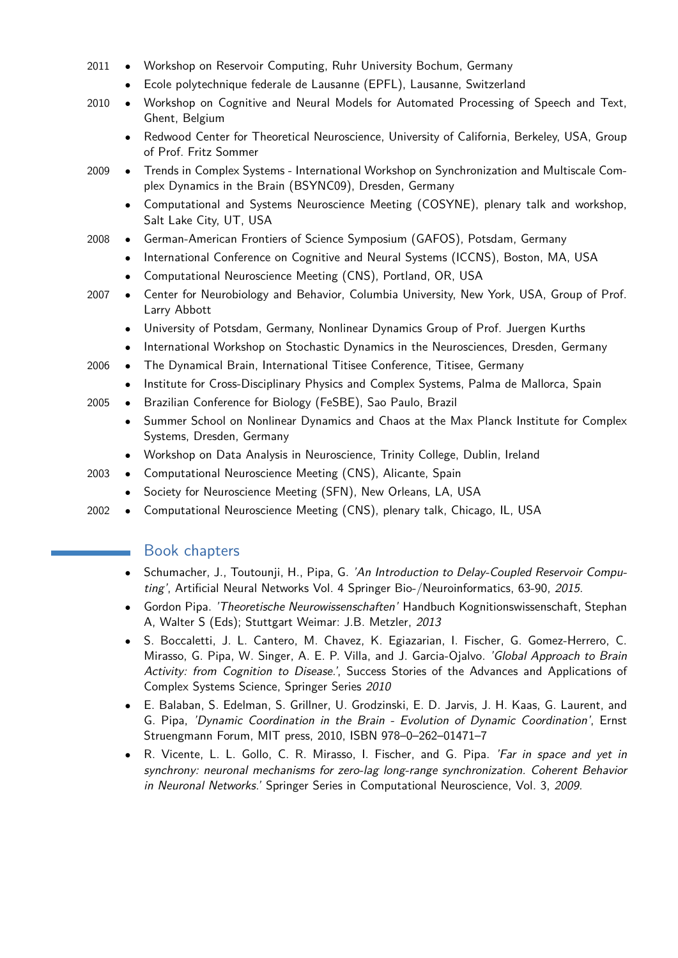- 2011 *•* Workshop on Reservoir Computing, Ruhr University Bochum, Germany
	- *•* Ecole polytechnique federale de Lausanne (EPFL), Lausanne, Switzerland
- 2010 *•* Workshop on Cognitive and Neural Models for Automated Processing of Speech and Text, Ghent, Belgium
	- *•* Redwood Center for Theoretical Neuroscience, University of California, Berkeley, USA, Group of Prof. Fritz Sommer
- 2009 *•* Trends in Complex Systems International Workshop on Synchronization and Multiscale Complex Dynamics in the Brain (BSYNC09), Dresden, Germany
	- *•* Computational and Systems Neuroscience Meeting (COSYNE), plenary talk and workshop, Salt Lake City, UT, USA
- 2008 *•* German-American Frontiers of Science Symposium (GAFOS), Potsdam, Germany
	- *•* International Conference on Cognitive and Neural Systems (ICCNS), Boston, MA, USA
		- *•* Computational Neuroscience Meeting (CNS), Portland, OR, USA
- 2007 *•* Center for Neurobiology and Behavior, Columbia University, New York, USA, Group of Prof. Larry Abbott
	- *•* University of Potsdam, Germany, Nonlinear Dynamics Group of Prof. Juergen Kurths
	- *•* International Workshop on Stochastic Dynamics in the Neurosciences, Dresden, Germany
- 2006 *•* The Dynamical Brain, International Titisee Conference, Titisee, Germany
	- *•* Institute for Cross-Disciplinary Physics and Complex Systems, Palma de Mallorca, Spain
- 2005 *•* Brazilian Conference for Biology (FeSBE), Sao Paulo, Brazil
	- *•* Summer School on Nonlinear Dynamics and Chaos at the Max Planck Institute for Complex Systems, Dresden, Germany
	- *•* Workshop on Data Analysis in Neuroscience, Trinity College, Dublin, Ireland
- 2003 *•* Computational Neuroscience Meeting (CNS), Alicante, Spain
	- *•* Society for Neuroscience Meeting (SFN), New Orleans, LA, USA
- 2002 *•* Computational Neuroscience Meeting (CNS), plenary talk, Chicago, IL, USA

#### Book chapters

- *•* Schumacher, J., Toutounji, H., Pipa, G. 'An Introduction to Delay-Coupled Reservoir Computing', Artificial Neural Networks Vol. 4 Springer Bio-/Neuroinformatics, 63-90, 2015.
- *•* Gordon Pipa. 'Theoretische Neurowissenschaften' Handbuch Kognitionswissenschaft, Stephan A, Walter S (Eds); Stuttgart Weimar: J.B. Metzler, 2013
- *•* S. Boccaletti, J. L. Cantero, M. Chavez, K. Egiazarian, I. Fischer, G. Gomez-Herrero, C. Mirasso, G. Pipa, W. Singer, A. E. P. Villa, and J. Garcia-Ojalvo. 'Global Approach to Brain Activity: from Cognition to Disease.', Success Stories of the Advances and Applications of Complex Systems Science, Springer Series 2010
- *•* E. Balaban, S. Edelman, S. Grillner, U. Grodzinski, E. D. Jarvis, J. H. Kaas, G. Laurent, and G. Pipa, 'Dynamic Coordination in the Brain - Evolution of Dynamic Coordination', Ernst Struengmann Forum, MIT press, 2010, ISBN 978–0–262–01471–7
- *•* R. Vicente, L. L. Gollo, C. R. Mirasso, I. Fischer, and G. Pipa. 'Far in space and yet in synchrony: neuronal mechanisms for zero-lag long-range synchronization. Coherent Behavior in Neuronal Networks.' Springer Series in Computational Neuroscience, Vol. 3, 2009.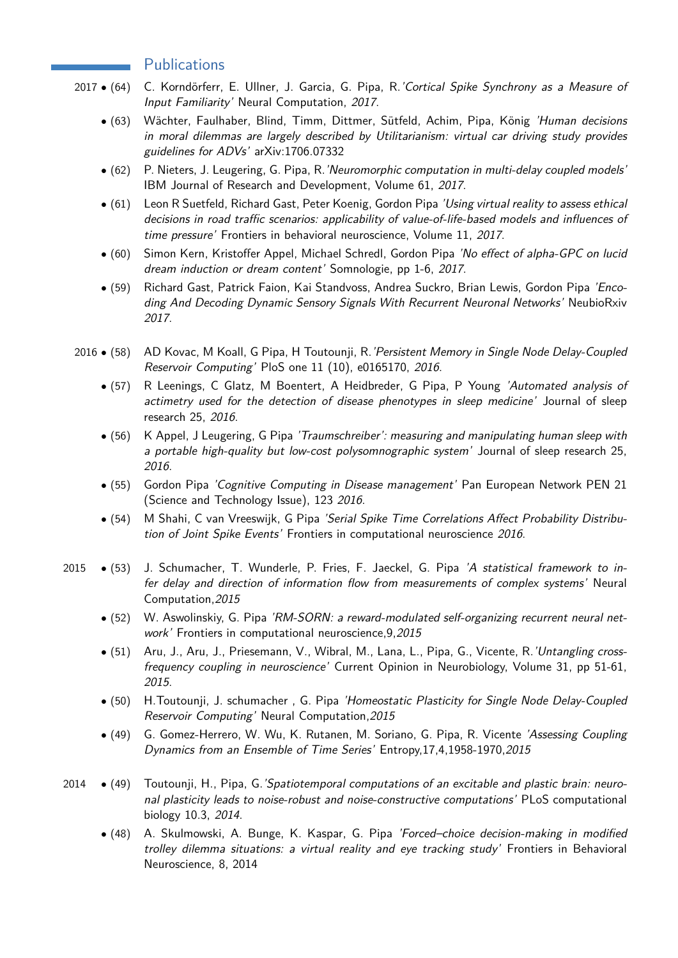#### **Publications**

- 2017 (64) C. Korndörferr, E. Ullner, J. Garcia, G. Pipa, R. 'Cortical Spike Synchrony as a Measure of Input Familiarity' Neural Computation, 2017.
	- *•* (63) Wächter, Faulhaber, Blind, Timm, Dittmer, Sütfeld, Achim, Pipa, König 'Human decisions in moral dilemmas are largely described by Utilitarianism: virtual car driving study provides guidelines for ADVs' arXiv:1706.07332
	- *•* (62) P. Nieters, J. Leugering, G. Pipa, R.'Neuromorphic computation in multi-delay coupled models' IBM Journal of Research and Development, Volume 61, 2017.
	- (61) Leon R Suetfeld, Richard Gast, Peter Koenig, Gordon Pipa *'Using virtual reality to assess ethical* decisions in road traffic scenarios: applicability of value-of-life-based models and influences of time pressure' Frontiers in behavioral neuroscience, Volume 11, 2017.
	- *•* (60) Simon Kern, Kristoffer Appel, Michael Schredl, Gordon Pipa 'No effect of alpha-GPC on lucid dream induction or dream content' Somnologie, pp 1-6, 2017.
	- *•* (59) Richard Gast, Patrick Faion, Kai Standvoss, Andrea Suckro, Brian Lewis, Gordon Pipa 'Encoding And Decoding Dynamic Sensory Signals With Recurrent Neuronal Networks' NeubioRxiv 2017.
- 2016 *•* (58) AD Kovac, M Koall, G Pipa, H Toutounji, R.'Persistent Memory in Single Node Delay-Coupled Reservoir Computing' PloS one 11 (10), e0165170, 2016.
	- *•* (57) R Leenings, C Glatz, M Boentert, A Heidbreder, G Pipa, P Young 'Automated analysis of actimetry used for the detection of disease phenotypes in sleep medicine' Journal of sleep research 25, 2016.
	- *•* (56) K Appel, J Leugering, G Pipa 'Traumschreiber': measuring and manipulating human sleep with a portable high-quality but low-cost polysomnographic system' Journal of sleep research 25, 2016.
	- *•* (55) Gordon Pipa 'Cognitive Computing in Disease management' Pan European Network PEN 21 (Science and Technology Issue), 123 2016.
	- *•* (54) M Shahi, C van Vreeswijk, G Pipa 'Serial Spike Time Correlations Affect Probability Distribution of Joint Spike Events' Frontiers in computational neuroscience 2016.
- 2015 *•* (53) J. Schumacher, T. Wunderle, P. Fries, F. Jaeckel, G. Pipa 'A statistical framework to infer delay and direction of information flow from measurements of complex systems' Neural Computation,2015
	- *•* (52) W. Aswolinskiy, G. Pipa 'RM-SORN: a reward-modulated self-organizing recurrent neural network' Frontiers in computational neuroscience, 9, 2015
	- *•* (51) Aru, J., Aru, J., Priesemann, V., Wibral, M., Lana, L., Pipa, G., Vicente, R.'Untangling crossfrequency coupling in neuroscience' Current Opinion in Neurobiology, Volume 31, pp 51-61, 2015.
	- *•* (50) H.Toutounji, J. schumacher , G. Pipa 'Homeostatic Plasticity for Single Node Delay-Coupled Reservoir Computing' Neural Computation,2015
	- *•* (49) G. Gomez-Herrero, W. Wu, K. Rutanen, M. Soriano, G. Pipa, R. Vicente 'Assessing Coupling Dynamics from an Ensemble of Time Series' Entropy,17,4,1958-1970,2015
- 2014 *•* (49) Toutounji, H., Pipa, G.'Spatiotemporal computations of an excitable and plastic brain: neuronal plasticity leads to noise-robust and noise-constructive computations' PLoS computational biology 10.3, 2014.
	- *•* (48) A. Skulmowski, A. Bunge, K. Kaspar, G. Pipa 'Forced–choice decision-making in modified trolley dilemma situations: a virtual reality and eye tracking study' Frontiers in Behavioral Neuroscience, 8, 2014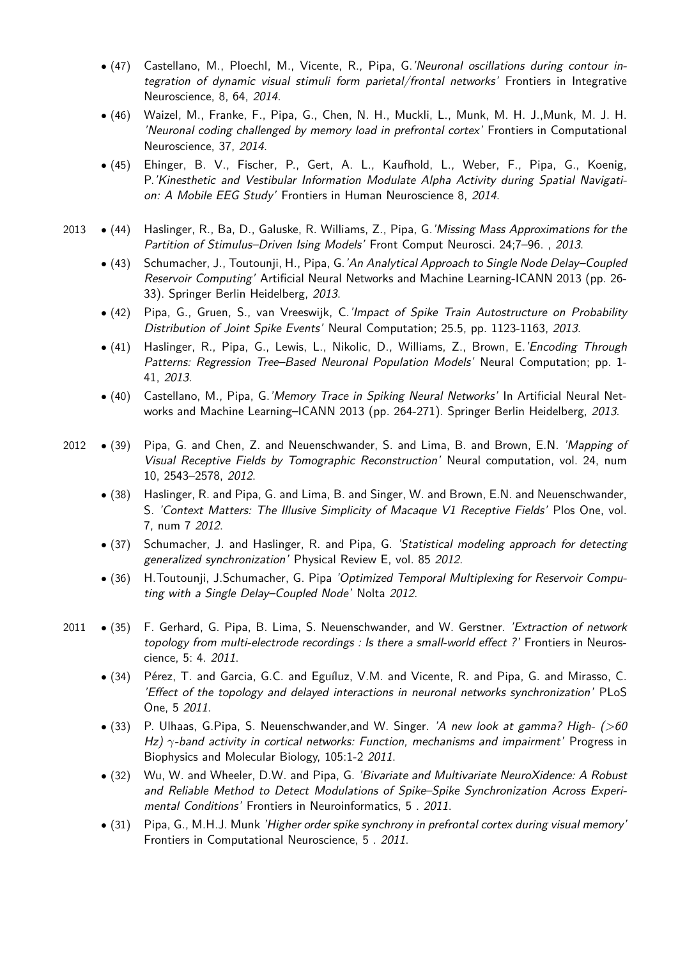- *•* (47) Castellano, M., Ploechl, M., Vicente, R., Pipa, G.'Neuronal oscillations during contour integration of dynamic visual stimuli form parietal/frontal networks' Frontiers in Integrative Neuroscience, 8, 64, 2014.
- *•* (46) Waizel, M., Franke, F., Pipa, G., Chen, N. H., Muckli, L., Munk, M. H. J.,Munk, M. J. H. 'Neuronal coding challenged by memory load in prefrontal cortex' Frontiers in Computational Neuroscience, 37, 2014.
- *•* (45) Ehinger, B. V., Fischer, P., Gert, A. L., Kaufhold, L., Weber, F., Pipa, G., Koenig, P.'Kinesthetic and Vestibular Information Modulate Alpha Activity during Spatial Navigation: A Mobile EEG Study' Frontiers in Human Neuroscience 8, 2014.
- 2013 *•* (44) Haslinger, R., Ba, D., Galuske, R. Williams, Z., Pipa, G.'Missing Mass Approximations for the Partition of Stimulus-Driven Ising Models' Front Comput Neurosci. 24;7-96., 2013.
	- *•* (43) Schumacher, J., Toutounji, H., Pipa, G.'An Analytical Approach to Single Node Delay–Coupled Reservoir Computing' Artificial Neural Networks and Machine Learning-ICANN 2013 (pp. 26- 33). Springer Berlin Heidelberg, 2013.
	- *•* (42) Pipa, G., Gruen, S., van Vreeswijk, C.'Impact of Spike Train Autostructure on Probability Distribution of Joint Spike Events' Neural Computation; 25.5, pp. 1123-1163, 2013.
	- *•* (41) Haslinger, R., Pipa, G., Lewis, L., Nikolic, D., Williams, Z., Brown, E.'Encoding Through Patterns: Regression Tree–Based Neuronal Population Models' Neural Computation; pp. 1- 41, 2013.
	- (40) Castellano, M., Pipa, G. 'Memory Trace in Spiking Neural Networks' In Artificial Neural Networks and Machine Learning–ICANN 2013 (pp. 264-271). Springer Berlin Heidelberg, 2013.
- 2012 *•* (39) Pipa, G. and Chen, Z. and Neuenschwander, S. and Lima, B. and Brown, E.N. 'Mapping of Visual Receptive Fields by Tomographic Reconstruction' Neural computation, vol. 24, num 10, 2543–2578, 2012.
	- *•* (38) Haslinger, R. and Pipa, G. and Lima, B. and Singer, W. and Brown, E.N. and Neuenschwander, S. 'Context Matters: The Illusive Simplicity of Macaque V1 Receptive Fields' Plos One, vol. 7, num 7 2012.
	- *•* (37) Schumacher, J. and Haslinger, R. and Pipa, G. 'Statistical modeling approach for detecting generalized synchronization' Physical Review E, vol. 85 2012.
	- *•* (36) H.Toutounji, J.Schumacher, G. Pipa 'Optimized Temporal Multiplexing for Reservoir Computing with a Single Delay–Coupled Node' Nolta 2012.
- 2011 (35) F. Gerhard, G. Pipa, B. Lima, S. Neuenschwander, and W. Gerstner. 'Extraction of network topology from multi-electrode recordings : Is there a small-world effect ?' Frontiers in Neuroscience, 5: 4. 2011.
	- *•* (34) Pérez, T. and Garcia, G.C. and Eguíluz, V.M. and Vicente, R. and Pipa, G. and Mirasso, C. 'Effect of the topology and delayed interactions in neuronal networks synchronization' PLoS One, 5 2011.
	- *•* (33) P. Ulhaas, G.Pipa, S. Neuenschwander,and W. Singer. 'A new look at gamma? High- (>60 Hz) *γ*-band activity in cortical networks: Function, mechanisms and impairment' Progress in Biophysics and Molecular Biology, 105:1-2 2011.
	- *•* (32) Wu, W. and Wheeler, D.W. and Pipa, G. 'Bivariate and Multivariate NeuroXidence: A Robust and Reliable Method to Detect Modulations of Spike–Spike Synchronization Across Experimental Conditions' Frontiers in Neuroinformatics, 5 . 2011.
	- *•* (31) Pipa, G., M.H.J. Munk 'Higher order spike synchrony in prefrontal cortex during visual memory' Frontiers in Computational Neuroscience, 5 . 2011.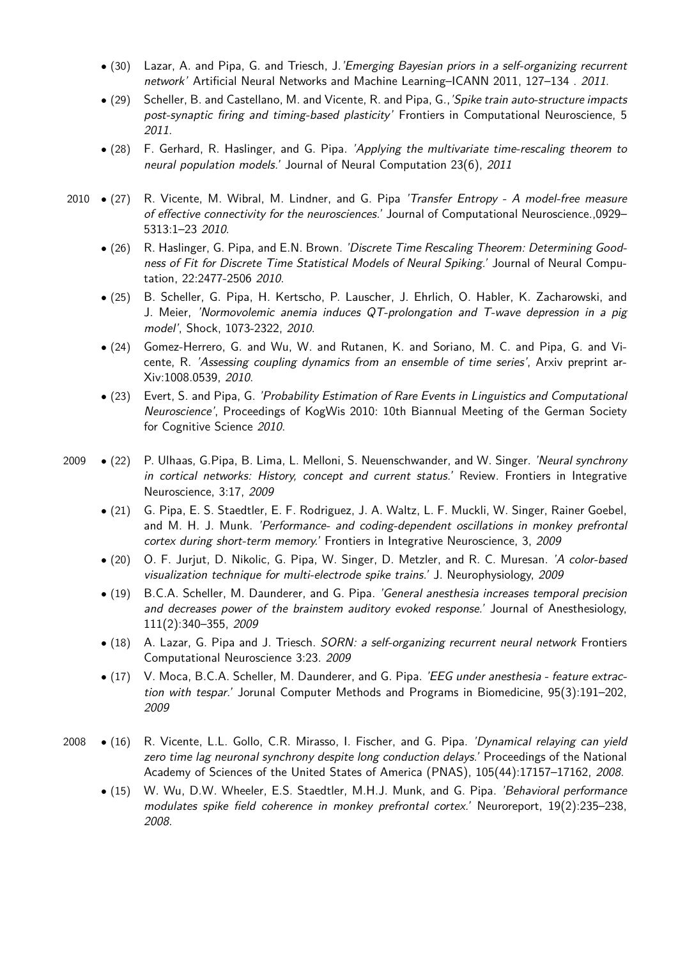- *•* (30) Lazar, A. and Pipa, G. and Triesch, J.'Emerging Bayesian priors in a self-organizing recurrent network' Artificial Neural Networks and Machine Learning–ICANN 2011, 127–134 . 2011.
- *•* (29) Scheller, B. and Castellano, M. and Vicente, R. and Pipa, G.,'Spike train auto-structure impacts post-synaptic firing and timing-based plasticity' Frontiers in Computational Neuroscience, 5 2011.
- *•* (28) F. Gerhard, R. Haslinger, and G. Pipa. 'Applying the multivariate time-rescaling theorem to neural population models.' Journal of Neural Computation 23(6), 2011
- 2010 *•* (27) R. Vicente, M. Wibral, M. Lindner, and G. Pipa 'Transfer Entropy A model-free measure of effective connectivity for the neurosciences.' Journal of Computational Neuroscience.,0929– 5313:1–23 2010.
	- *•* (26) R. Haslinger, G. Pipa, and E.N. Brown. 'Discrete Time Rescaling Theorem: Determining Goodness of Fit for Discrete Time Statistical Models of Neural Spiking.' Journal of Neural Computation, 22:2477-2506 2010.
	- *•* (25) B. Scheller, G. Pipa, H. Kertscho, P. Lauscher, J. Ehrlich, O. Habler, K. Zacharowski, and J. Meier, 'Normovolemic anemia induces QT-prolongation and T-wave depression in a pig model', Shock, 1073-2322, 2010.
	- *•* (24) Gomez-Herrero, G. and Wu, W. and Rutanen, K. and Soriano, M. C. and Pipa, G. and Vicente, R. 'Assessing coupling dynamics from an ensemble of time series', Arxiv preprint ar-Xiv:1008.0539, 2010.
	- *•* (23) Evert, S. and Pipa, G. 'Probability Estimation of Rare Events in Linguistics and Computational Neuroscience', Proceedings of KogWis 2010: 10th Biannual Meeting of the German Society for Cognitive Science 2010.
- 2009 *•* (22) P. Ulhaas, G.Pipa, B. Lima, L. Melloni, S. Neuenschwander, and W. Singer. 'Neural synchrony in cortical networks: History, concept and current status.' Review. Frontiers in Integrative Neuroscience, 3:17, 2009
	- *•* (21) G. Pipa, E. S. Staedtler, E. F. Rodriguez, J. A. Waltz, L. F. Muckli, W. Singer, Rainer Goebel, and M. H. J. Munk. 'Performance- and coding-dependent oscillations in monkey prefrontal cortex during short-term memory.' Frontiers in Integrative Neuroscience, 3, 2009
	- *•* (20) O. F. Jurjut, D. Nikolic, G. Pipa, W. Singer, D. Metzler, and R. C. Muresan. 'A color-based visualization technique for multi-electrode spike trains.' J. Neurophysiology, 2009
	- *•* (19) B.C.A. Scheller, M. Daunderer, and G. Pipa. 'General anesthesia increases temporal precision and decreases power of the brainstem auditory evoked response.' Journal of Anesthesiology, 111(2):340–355, 2009
	- *•* (18) A. Lazar, G. Pipa and J. Triesch. SORN: a self-organizing recurrent neural network Frontiers Computational Neuroscience 3:23. 2009
	- *•* (17) V. Moca, B.C.A. Scheller, M. Daunderer, and G. Pipa. 'EEG under anesthesia feature extraction with tespar.' Jorunal Computer Methods and Programs in Biomedicine, 95(3):191–202, 2009
- 2008 *•* (16) R. Vicente, L.L. Gollo, C.R. Mirasso, I. Fischer, and G. Pipa. 'Dynamical relaying can yield zero time lag neuronal synchrony despite long conduction delays.' Proceedings of the National Academy of Sciences of the United States of America (PNAS), 105(44):17157–17162, 2008.
	- *•* (15) W. Wu, D.W. Wheeler, E.S. Staedtler, M.H.J. Munk, and G. Pipa. 'Behavioral performance modulates spike field coherence in monkey prefrontal cortex.' Neuroreport, 19(2):235–238, 2008.